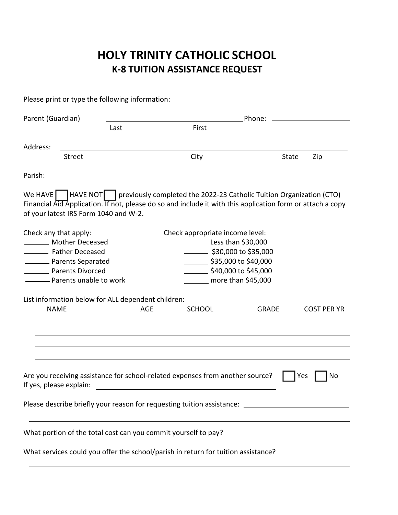## **HOLY TRINITY CATHOLIC SCHOOL K‐8 TUITION ASSISTANCE REQUEST**

Please print or type the following information:

| Parent (Guardian)                                                                                                                                                                                                |                          | Phone:                          |                                    |       |                    |  |  |  |
|------------------------------------------------------------------------------------------------------------------------------------------------------------------------------------------------------------------|--------------------------|---------------------------------|------------------------------------|-------|--------------------|--|--|--|
|                                                                                                                                                                                                                  | Last                     | First                           |                                    |       |                    |  |  |  |
|                                                                                                                                                                                                                  |                          |                                 |                                    |       |                    |  |  |  |
| Address:                                                                                                                                                                                                         |                          |                                 |                                    |       |                    |  |  |  |
|                                                                                                                                                                                                                  | Street                   | City                            |                                    | State | Zip                |  |  |  |
| Parish:                                                                                                                                                                                                          |                          |                                 |                                    |       |                    |  |  |  |
|                                                                                                                                                                                                                  |                          |                                 |                                    |       |                    |  |  |  |
| We HAVE $\Box$   HAVE NOT     previously completed the 2022-23 Catholic Tuition Organization (CTO)<br>Financial Aid Application. If not, please do so and include it with this application form or attach a copy |                          |                                 |                                    |       |                    |  |  |  |
| of your latest IRS Form 1040 and W-2.                                                                                                                                                                            |                          |                                 |                                    |       |                    |  |  |  |
|                                                                                                                                                                                                                  |                          |                                 |                                    |       |                    |  |  |  |
| Check any that apply:                                                                                                                                                                                            |                          | Check appropriate income level: |                                    |       |                    |  |  |  |
| Mother Deceased                                                                                                                                                                                                  |                          |                                 | Less than \$30,000                 |       |                    |  |  |  |
| Father Deceased                                                                                                                                                                                                  |                          |                                 | $\frac{1}{2}$ \$30,000 to \$35,000 |       |                    |  |  |  |
| Parents Separated                                                                                                                                                                                                |                          |                                 | $\frac{1}{2}$ \$35,000 to \$40,000 |       |                    |  |  |  |
| <b>National Parents Divorced</b>                                                                                                                                                                                 |                          |                                 | $\frac{1}{2}$ \$40,000 to \$45,000 |       |                    |  |  |  |
|                                                                                                                                                                                                                  | - Parents unable to work |                                 | $\frac{1}{2}$ more than \$45,000   |       |                    |  |  |  |
|                                                                                                                                                                                                                  |                          |                                 |                                    |       |                    |  |  |  |
| List information below for ALL dependent children:                                                                                                                                                               |                          |                                 |                                    |       |                    |  |  |  |
| <b>NAME</b>                                                                                                                                                                                                      |                          | <b>AGE</b><br><b>SCHOOL</b>     | <b>GRADE</b>                       |       | <b>COST PER YR</b> |  |  |  |
|                                                                                                                                                                                                                  |                          |                                 |                                    |       |                    |  |  |  |
|                                                                                                                                                                                                                  |                          |                                 |                                    |       |                    |  |  |  |
|                                                                                                                                                                                                                  |                          |                                 |                                    |       |                    |  |  |  |
|                                                                                                                                                                                                                  |                          |                                 |                                    |       |                    |  |  |  |
|                                                                                                                                                                                                                  |                          |                                 |                                    |       |                    |  |  |  |
| Are you receiving assistance for school-related expenses from another source?<br>No<br>Yes<br>If yes, please explain:                                                                                            |                          |                                 |                                    |       |                    |  |  |  |
| Please describe briefly your reason for requesting tuition assistance: 2008 and 2008 and 2008 and 2008 and 200                                                                                                   |                          |                                 |                                    |       |                    |  |  |  |
|                                                                                                                                                                                                                  |                          |                                 |                                    |       |                    |  |  |  |
|                                                                                                                                                                                                                  |                          |                                 |                                    |       |                    |  |  |  |
| What services could you offer the school/parish in return for tuition assistance?                                                                                                                                |                          |                                 |                                    |       |                    |  |  |  |